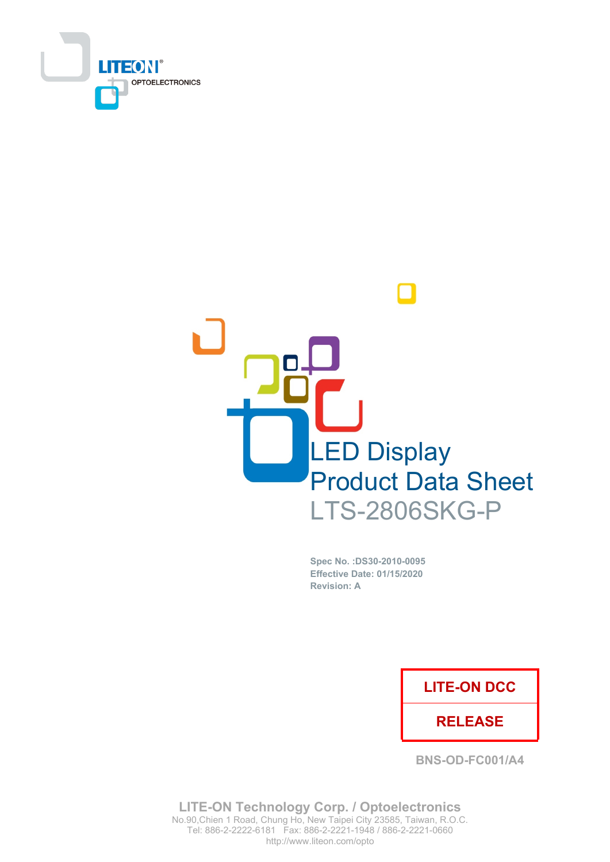



Spec No. : DS30-2010-0095 Effective Date: 01/15/2020 **Revision: A** 

### **LITE-ON DCC**

### **RELEASE**

**BNS-OD-FC001/A4** 

**LITE-ON Technology Corp. / Optoelectronics** No.90, Chien 1 Road, Chung Ho, New Taipei City 23585, Taiwan, R.O.C. Tel: 886-2-2222-6181 Fax: 886-2-2221-1948 / 886-2-2221-0660 http://www.liteon.com/opto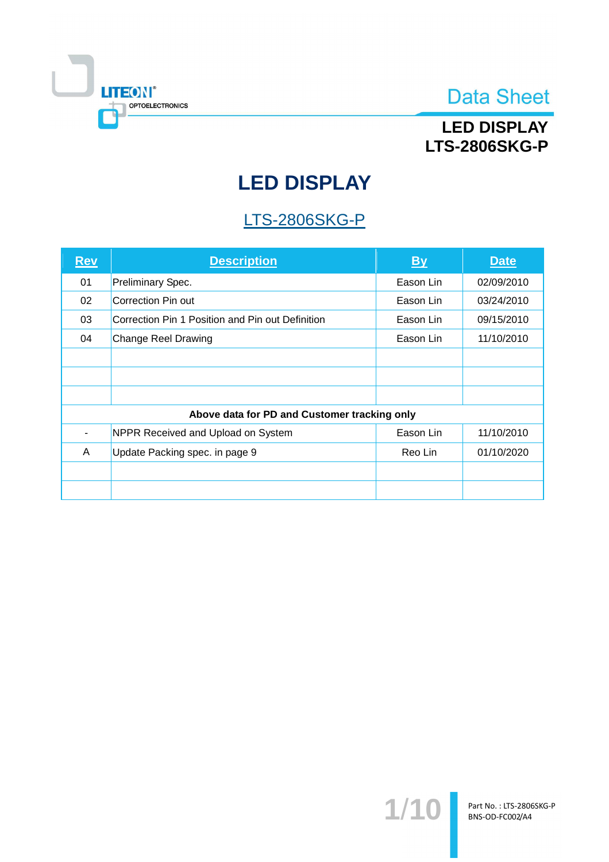

## **LED DISPLAY LTS-2806SKG-P**

# **LED DISPLAY**

## **LTS-2806SKG-P**

| <u>Rev</u> | <b>Description</b>                               | <u>By</u> | <b>Date</b> |
|------------|--------------------------------------------------|-----------|-------------|
| 01         | Preliminary Spec.                                | Eason Lin | 02/09/2010  |
| 02         | Correction Pin out                               | Eason Lin | 03/24/2010  |
| 03         | Correction Pin 1 Position and Pin out Definition | Eason Lin | 09/15/2010  |
| 04         | <b>Change Reel Drawing</b>                       | Eason Lin | 11/10/2010  |
|            |                                                  |           |             |
|            |                                                  |           |             |
|            |                                                  |           |             |
|            | Above data for PD and Customer tracking only     |           |             |
|            | NPPR Received and Upload on System               | Eason Lin | 11/10/2010  |
| A          | Update Packing spec. in page 9                   | Reo Lin   | 01/10/2020  |
|            |                                                  |           |             |
|            |                                                  |           |             |

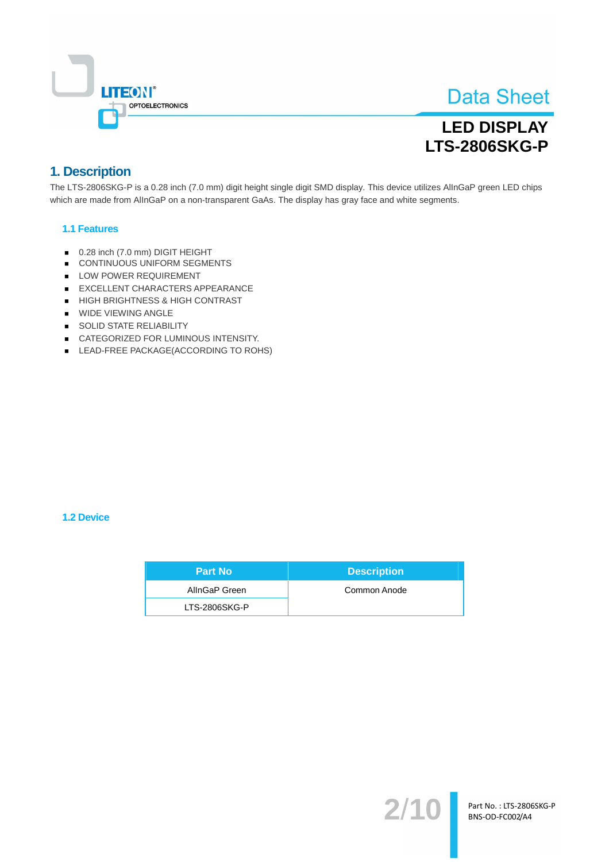

## **LED DISPLAY LTS-2806SKG-P**

### 1. Description

The LTS-2806SKG-P is a 0.28 inch (7.0 mm) digit height single digit SMD display. This device utilizes AllnGaP green LED chips which are made from AllnGaP on a non-transparent GaAs. The display has gray face and white segments.

#### **1.1 Features**

- 0.28 inch (7.0 mm) DIGIT HEIGHT
- CONTINUOUS UNIFORM SEGMENTS
- LOW POWER REQUIREMENT
- EXCELLENT CHARACTERS APPEARANCE
- HIGH BRIGHTNESS & HIGH CONTRAST
- **WIDE VIEWING ANGLE**
- SOLID STATE RELIABILITY
- CATEGORIZED FOR LUMINOUS INTENSITY.
- LEAD-FREE PACKAGE(ACCORDING TO ROHS)

#### **1.2 Device**

| <b>Part No</b> | <b>Description</b> |
|----------------|--------------------|
| AllnGaP Green  | Common Anode       |
| LTS-2806SKG-P  |                    |

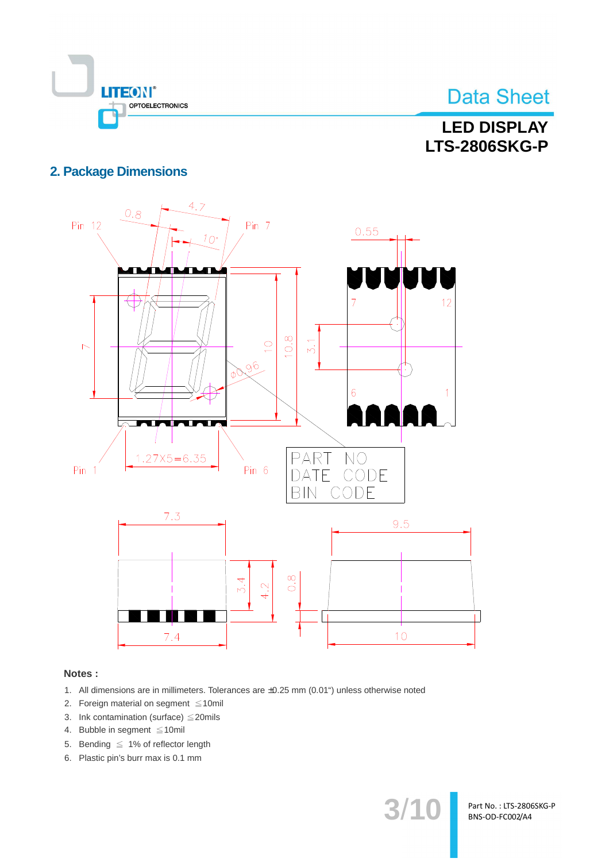

## **LED DISPLAY LTS-2806SKG-P**

### **2. Package Dimensions**



#### Notes:

- 1. All dimensions are in millimeters. Tolerances are ±0.25 mm (0.01") unless otherwise noted
- 2. Foreign material on segment  $\leq 10$ mil
- 3. Ink contamination (surface)  $\leq$  20mils
- 4. Bubble in segment ≤10mil
- 5. Bending  $\leq 1\%$  of reflector length
- 6. Plastic pin's burr max is 0.1 mm

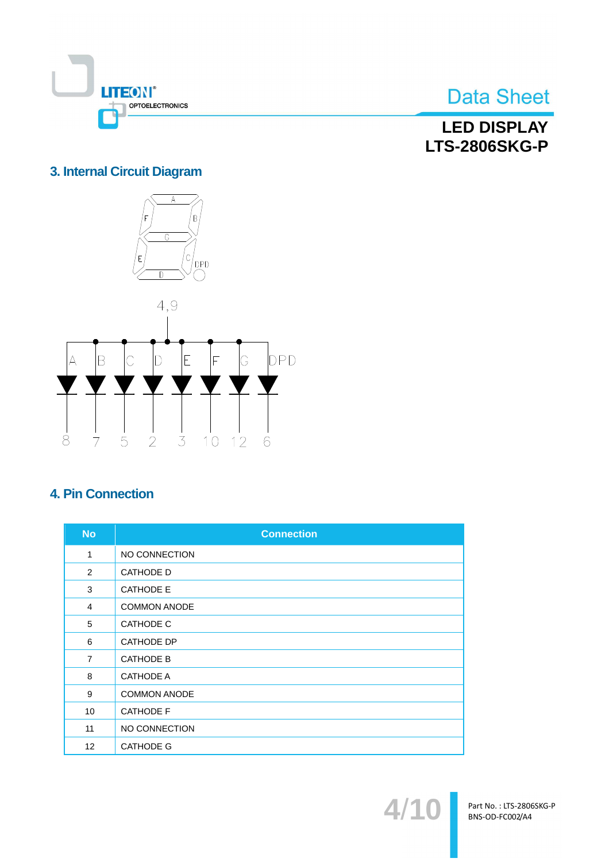

**LED DISPLAY LTS-2806SKG-P** 

### 3. Internal Circuit Diagram



### **4. Pin Connection**

| <b>No</b>         | <b>Connection</b>   |
|-------------------|---------------------|
| 1                 | NO CONNECTION       |
| 2                 | <b>CATHODE D</b>    |
| 3                 | <b>CATHODE E</b>    |
| $\overline{4}$    | <b>COMMON ANODE</b> |
| 5                 | <b>CATHODE C</b>    |
| 6                 | <b>CATHODE DP</b>   |
| $\overline{7}$    | <b>CATHODE B</b>    |
| 8                 | <b>CATHODE A</b>    |
| 9                 | <b>COMMON ANODE</b> |
| 10                | <b>CATHODE F</b>    |
| 11                | NO CONNECTION       |
| $12 \overline{ }$ | <b>CATHODE G</b>    |

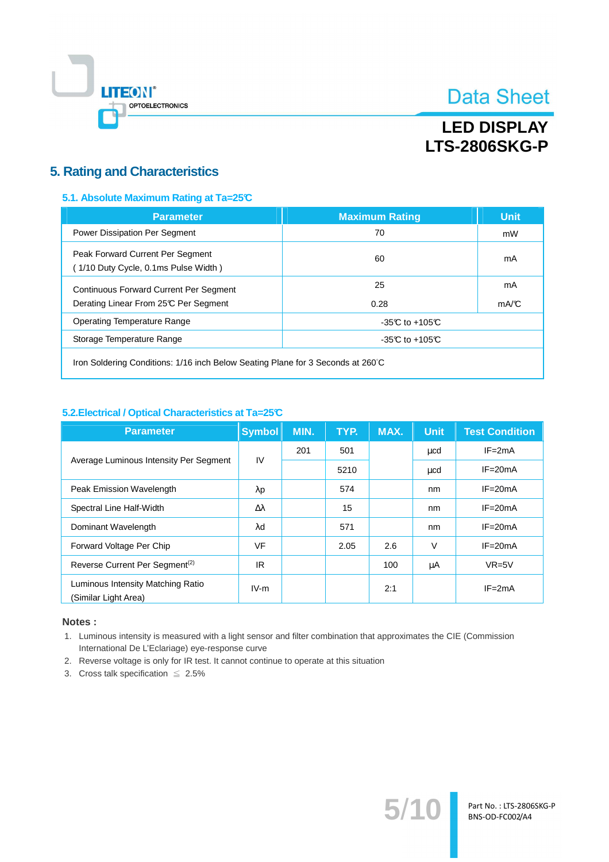

## **LED DISPLAY LTS-2806SKG-P**

### **5. Rating and Characteristics**

#### 5.1. Absolute Maximum Rating at Ta=25°C

| <b>Parameter</b>                                                                       | <b>Maximum Rating</b> | <b>Unit</b> |
|----------------------------------------------------------------------------------------|-----------------------|-------------|
| Power Dissipation Per Segment                                                          | 70                    | mW          |
| Peak Forward Current Per Segment<br>(1/10 Duty Cycle, 0.1ms Pulse Width)               | 60                    | mA          |
| <b>Continuous Forward Current Per Segment</b><br>Derating Linear From 25°C Per Segment | 25<br>0.28            | mA<br>mA/C  |
| Operating Temperature Range                                                            | $-35C$ to $+105C$     |             |
| Storage Temperature Range                                                              | $-35C$ to $+105C$     |             |
|                                                                                        |                       |             |

Iron Soldering Conditions: 1/16 inch Below Seating Plane for 3 Seconds at 260°C

#### 5.2. Electrical / Optical Characteristics at Ta=25°C

| <b>Parameter</b>                                          | <b>Symbol</b>    | MIN. | TYP. | MAX. | <b>Unit</b> | <b>Test Condition</b> |
|-----------------------------------------------------------|------------------|------|------|------|-------------|-----------------------|
| Average Luminous Intensity Per Segment                    | IV               | 201  | 501  |      | μcd         | $IF = 2mA$            |
|                                                           |                  |      | 5210 |      | μcd         | $IF = 20mA$           |
| Peak Emission Wavelength                                  | $\lambda$ p      |      | 574  |      | nm          | $IF = 20mA$           |
| Spectral Line Half-Width                                  | $\Delta \lambda$ |      | 15   |      | nm          | $IF = 20mA$           |
| Dominant Wavelength                                       | $\lambda$ d      |      | 571  |      | nm          | $IF = 20mA$           |
| Forward Voltage Per Chip                                  | <b>VF</b>        |      | 2.05 | 2.6  | $\vee$      | $IF = 20mA$           |
| Reverse Current Per Segment <sup>(2)</sup>                | IR.              |      |      | 100  | μA          | $VR=5V$               |
| Luminous Intensity Matching Ratio<br>(Similar Light Area) | $IV-m$           |      |      | 2:1  |             | $IF = 2mA$            |

#### Notes:

1. Luminous intensity is measured with a light sensor and filter combination that approximates the CIE (Commission International De L'Eclariage) eye-response curve

 $5/$ 

- 2. Reverse voltage is only for IR test. It cannot continue to operate at this situation
- 3. Cross talk specification  $\leq 2.5\%$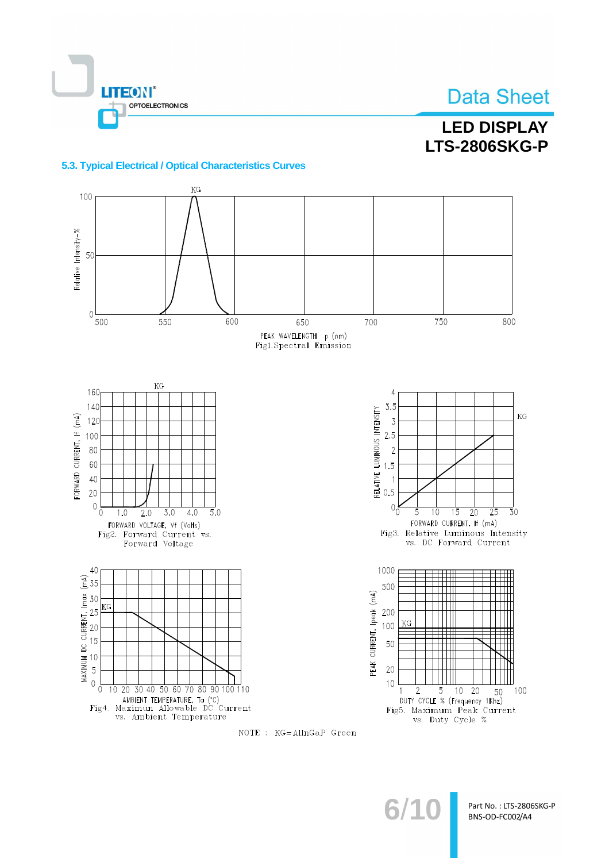

## **LED DISPLAY LTS-2806SKG-P**

#### 5.3. Typical Electrical / Optical Characteristics Curves





Part No.: LTS-2806SKG-P BNS-OD-FC002/A4

 $6/1$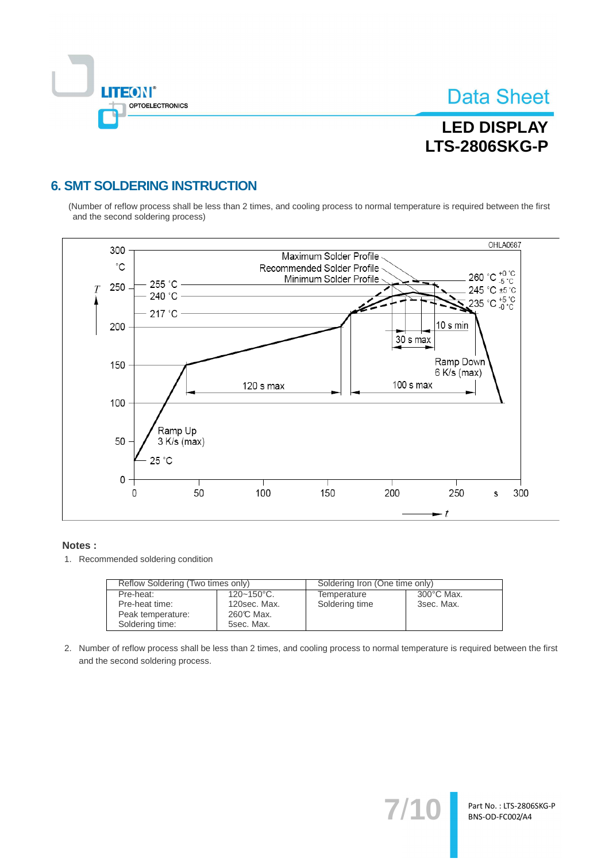

## **LED DISPLAY LTS-2806SKG-P**

### **6. SMT SOLDERING INSTRUCTION**

(Number of reflow process shall be less than 2 times, and cooling process to normal temperature is required between the first and the second soldering process)



#### Notes:

1. Recommended soldering condition

| Reflow Soldering (Two times only) |                        | Soldering Iron (One time only) |                      |  |
|-----------------------------------|------------------------|--------------------------------|----------------------|--|
| Pre-heat:                         | $120 - 150^{\circ}$ C. | Temperature                    | $300^{\circ}$ C Max. |  |
| Pre-heat time:                    | 120sec. Max.           | Soldering time                 | 3sec. Max.           |  |
| Peak temperature:                 | 260℃ Max.              |                                |                      |  |
| Soldering time:                   | 5sec. Max.             |                                |                      |  |

2. Number of reflow process shall be less than 2 times, and cooling process to normal temperature is required between the first and the second soldering process.

 $7'$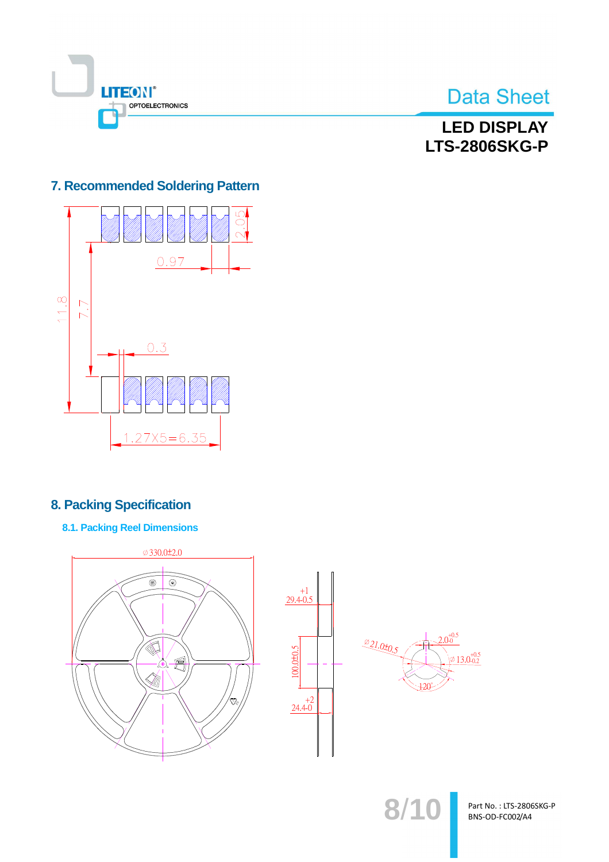

**LED DISPLAY LTS-2806SKG-P** 

### 7. Recommended Soldering Pattern



### **8. Packing Specification**

**8.1. Packing Reel Dimensions** 



Part No.: LTS-2806SKG-P BNS-OD-FC002/A4

 $8/10$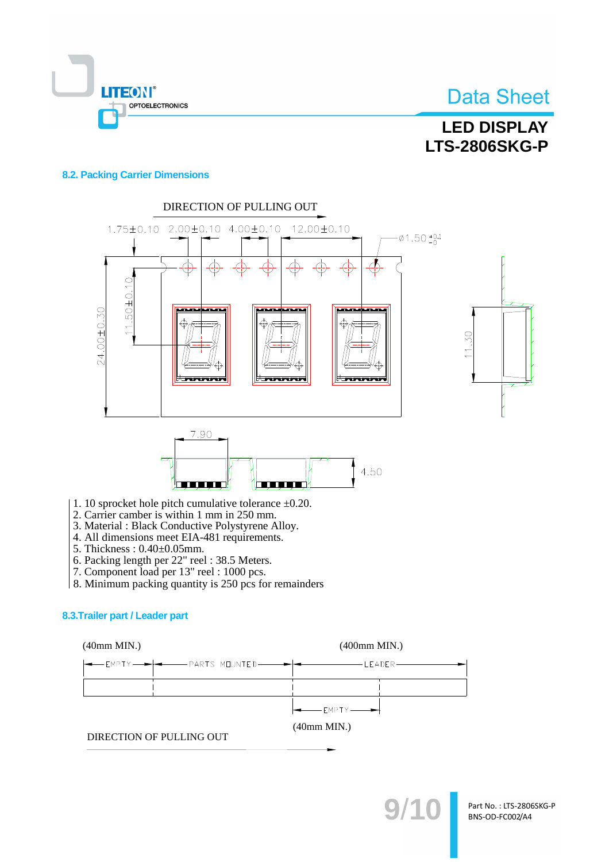

## **LED DISPLAY LTS-2806SKG-P**

#### **8.2. Packing Carrier Dimensions**



- 1. 10 sprocket hole pitch cumulative tolerance  $\pm 0.20$ .
- 2. Carrier camber is within 1 mm in 250 mm.
- 3. Material : Black Conductive Polystyrene Alloy.
- 4. All dimensions meet EIA-481 requirements.
- 5. Thickness: 0.40±0.05mm.
- 
- 6. Packing length per 22" reel : 38.5 Meters.<br>7. Component load per 13" reel : 1000 pcs.
- 8. Minimum packing quantity is 250 pcs for remainders

#### 8.3. Trailer part / Leader part

 $(40mm MIN.)$ 

 $(400mm$  MIN.)



DIRECTION OF PULLING OUT